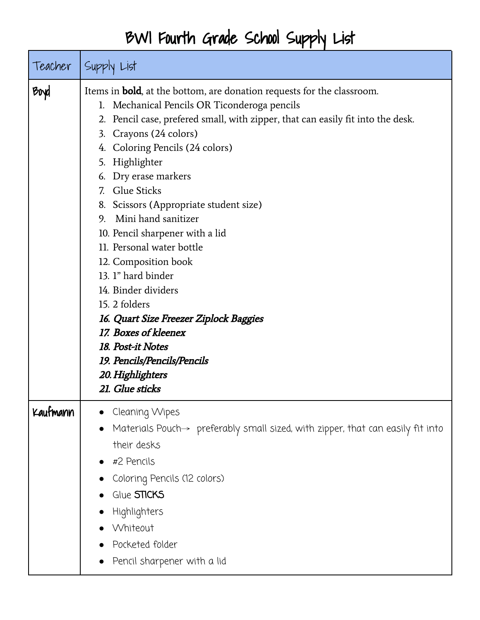## BWI Fourth Grade School Supply List

| Teacher  | Supply List                                                                                                                                                                                                                                                                                                                                                                                                                                                                                                                                                                                                                                                                                                    |
|----------|----------------------------------------------------------------------------------------------------------------------------------------------------------------------------------------------------------------------------------------------------------------------------------------------------------------------------------------------------------------------------------------------------------------------------------------------------------------------------------------------------------------------------------------------------------------------------------------------------------------------------------------------------------------------------------------------------------------|
| Boyd     | Items in <b>bold</b> , at the bottom, are donation requests for the classroom.<br>Mechanical Pencils OR Ticonderoga pencils<br>2. Pencil case, prefered small, with zipper, that can easily fit into the desk.<br>3. Crayons (24 colors)<br>4. Coloring Pencils (24 colors)<br>5. Highlighter<br>6. Dry erase markers<br>7. Glue Sticks<br>8. Scissors (Appropriate student size)<br>Mini hand sanitizer<br>9.<br>10. Pencil sharpener with a lid<br>11. Personal water bottle<br>12. Composition book<br>13. 1" hard binder<br>14. Binder dividers<br>15. 2 folders<br>16. Quart Size Freezer Ziplock Baggies<br>17. Boxes of kleenex<br>18. Post-it Notes<br>19. Pencils/Pencils/Pencils<br>20. Highlighters |
| Kaufmann | 21. Glue sticks<br>Cleaning Wipes<br>Materials Pouch $\rightarrow$ preferably small sized, with zipper, that can easily fit into<br>their desks<br>#2 Pencils<br>Coloring Pencils (12 colors)<br>Glue STICKS<br>Highlighters<br>Whiteout<br>Pocketed folder<br>Pencil sharpener with a lid                                                                                                                                                                                                                                                                                                                                                                                                                     |